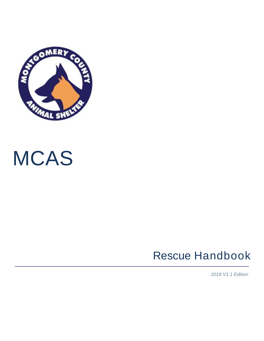

# MCAS

### Rescue Handbook

*2018 V1.1 Edition*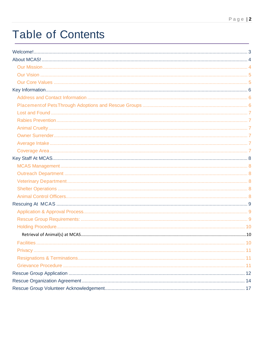### **Table of Contents**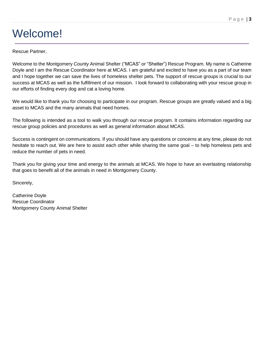### <span id="page-2-0"></span>Welcome!

#### Rescue Partner,

Welcome to the Montgomery County Animal Shelter ("MCAS" or "Shelter") Rescue Program. My name is Catherine Doyle and I am the Rescue Coordinator here at MCAS. I am grateful and excited to have you as a part of our team and I hope together we can save the lives of homeless shelter pets. The support of rescue groups is crucial to our success at MCAS as well as the fulfillment of our mission. I look forward to collaborating with your rescue group in our efforts of finding every dog and cat a loving home.

We would like to thank you for choosing to participate in our program. Rescue groups are greatly valued and a big asset to MCAS and the many animals that need homes.

The following is intended as a tool to walk you through our rescue program. It contains information regarding our rescue group policies and procedures as well as general information about MCAS.

Success is contingent on communications. If you should have any questions or concerns at any time, please do not hesitate to reach out. We are here to assist each other while sharing the same goal – to help homeless pets and reduce the number of pets in need.

Thank you for giving your time and energy to the animals at MCAS. We hope to have an everlasting relationship that goes to benefit all of the animals in need in Montgomery County.

Sincerely,

Catherine Doyle Rescue Coordinator Montgomery County Animal Shelter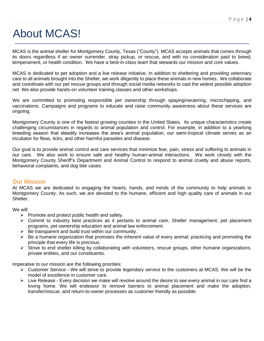#### P a g e | **4**

### <span id="page-3-0"></span>About MCAS!

MCAS is the animal shelter for Montgomery County, Texas ("County"). MCAS accepts animals that comes through its doors regardless if an owner surrender, stray pickup, or rescue, and with no consideration paid to breed, temperament, or health condition. We have a best-in-class team that stewards our mission and core values.

MCAS is dedicated to pet adoption and a live release initiative. In addition to sheltering and providing veterinary care to all animals brought into the Shelter, we work diligently to place these animals in new homes. We collaborate and coordinate with our pet rescue groups and through social media networks to cast the widest possible adoption net. We also provide hands-on volunteer training classes and other workshops.

We are committed to promoting responsible pet ownership through spaying/neutering, microchipping, and vaccinations. Campaigns and programs to educate and raise community awareness about these services are ongoing.

Montgomery County is one of the fastest growing counties in the United States. Its unique characteristics create challenging circumstances in regards to animal population and control. For example, in addition to a yearlong breeding season that steadily increases the area's animal population, our semi-tropical climate serves as an incubator for fleas, ticks, and other harmful parasites and disease.

Our goal is to provide animal control and care services that minimize fear, pain, stress and suffering to animals in our care. We also work to ensure safe and healthy human-animal interactions. We work closely with the Montgomery County Sheriff's Department and Animal Control to respond to animal cruelty and abuse reports, behavioral complaints, and dog bite cases.

#### <span id="page-3-1"></span>**Our Mission**

At MCAS we are dedicated to engaging the hearts, hands, and minds of the community to help animals in Montgomery County. As such, we are devoted to the humane, efficient and high quality care of animals in our Shelter.

We will:

- $\triangleright$  Promote and protect public health and safety.
- $\triangleright$  Commit to industry best practices as it pertains to animal care, Shelter management, pet placement programs, pet ownership education and animal law enforcement.
- $\triangleright$  Be transparent and build trust within our community.
- $\triangleright$  Be a humane organization that promotes the inherent value of every animal; practicing and promoting the principle that every life is precious.
- Strive to end shelter killing by collaborating with volunteers, rescue groups, other humane organizations, private entities, and our constituents.

Imperative to our mission are the following priorities:

- Customer Service We will strive to provide legendary service to the customers at MCAS. We will be the model of excellence in customer care.
- $\triangleright$  Live Release Every decision we make will revolve around the desire to see every animal in our care find a loving home. We will endeavor to remove barriers to animal placement and make the adoption, transfer/rescue, and return-to-owner processes as customer friendly as possible.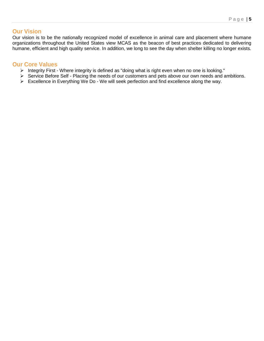#### <span id="page-4-0"></span>**Our Vision**

Our vision is to be the nationally recognized model of excellence in animal care and placement where humane organizations throughout the United States view MCAS as the beacon of best practices dedicated to delivering humane, efficient and high quality service. In addition, we long to see the day when shelter killing no longer exists.

#### <span id="page-4-1"></span>**Our Core Values**

- > Integrity First Where integrity is defined as "doing what is right even when no one is looking."
- Service Before Self Placing the needs of our customers and pets above our own needs and ambitions.
- ▶ Excellence in Everything We Do We will seek perfection and find excellence along the way.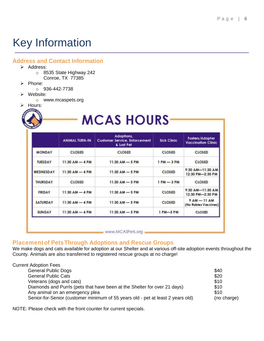### <span id="page-5-0"></span>Key Information

#### <span id="page-5-1"></span>**Address and Contact Information**

- $\triangleright$  Address:
	- o 8535 State Highway 242 Conroe, TX 77385
- $\triangleright$  Phone:
	- o 936-442-7738
- $\triangleright$  Website:
	- o www.mcaspets.org
- > Hours:

## **MCAS HOURS**

|                 | <b>ANIMAL TURN-IN</b> | Adoptions,<br><b>Customer Service, Enforcement</b><br>& Lost Pet | <b>Sick Clinic</b> | Fosters/Adopter<br><b>Vaccination Clinic</b> |
|-----------------|-----------------------|------------------------------------------------------------------|--------------------|----------------------------------------------|
| <b>MONDAY</b>   | CLOSED                | <b>CLOSED</b>                                                    | CLOSED             | <b>CLOSED</b>                                |
| <b>TUESDAY</b>  | $11:30$ AM - 4 PM     | $11:30$ AM - 5 PM                                                | $1 PM - 3 PM$      | <b>CLOSED</b>                                |
| WEDNESDAY       | $11:30$ AM - 4 PM     | $11:30$ AM - 5 PM                                                | CLOSED             | 9:30 AM-11:30 AM<br>12:30 PM-2:30 PM         |
| THURSDAY        | CLOSED                | $11:30$ AM - 5 PM                                                | $1 PM - 3 PM$      | <b>CLOSED</b>                                |
| <b>FRIDAY</b>   | $11:30$ AM $-$ 4 PM   | $11:30$ AM $-5$ PM                                               | CLOSED             | 9:30 AM-11:30 AM<br>12:30 PM-2:30 PM         |
| <b>SATURDAY</b> | $11:30$ AM $-4$ PM    | $11:30$ AM $-5$ PM                                               | CLOSED             | $9AM - 11AM$<br>(No Rabies Vaccines)         |
| SUNDAY          | $11:30$ AM $-4$ PM    | $11:30$ AM $-5$ PM                                               | 1 PM-3 PM          | <b>CLOSED</b>                                |

#### <span id="page-5-2"></span>**Placement of PetsThrough Adoptions and Rescue Groups**

We make dogs and cats available for adoption at our Shelter and at various off-site adoption events throughout the County. Animals are also transferred to registered rescue groups at no charge!

| <b>Current Adoption Fees</b>                                                    |             |
|---------------------------------------------------------------------------------|-------------|
| <b>General Public Dogs</b>                                                      | \$40        |
| <b>General Public Cats</b>                                                      | \$20        |
| Veterans (dogs and cats)                                                        | \$10        |
| Diamonds and Purrls (pets that have been at the Shelter for over 21 days)       | \$10        |
| Any animal on an emergency plea                                                 | \$10        |
| Senior-for-Senior (customer minimum of 55 years old - pet at least 2 years old) | (no charge) |

NOTE: Please check with the front counter for current specials.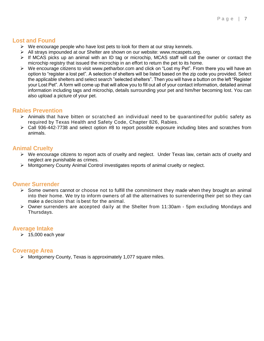#### <span id="page-6-0"></span>**Lost and Found**

- $\triangleright$  We encourage people who have lost pets to look for them at our stray kennels.
- All strays impounded at our Shelter are shown on our website: [www.mcaspets.org.](http://www.mcaspets.org/)
- $\triangleright$  If MCAS picks up an animal with an ID tag or microchip, MCAS staff will call the owner or contact the microchip registry that issued the microchip in an effort to return the pet to its home.
- We encourage citizens to visit [www.petharbor.com](http://www.petharbor.com/) and click on "Lost my Pet". From there you will have an option to "register a lost pet". A selection of shelters will be listed based on the zip code you provided. Select the applicable shelters and select search "selected shelters". Then you will have a button on the left "Register your Lost Pet". A form will come up that will allow you to fill out all of your contact information, detailed animal information including tags and microchip, details surrounding your pet and him/her becoming lost. You can also upload a picture of your pet.

#### <span id="page-6-1"></span>**Rabies Prevention**

- $\triangleright$  Animals that have bitten or scratched an individual need to be quarantined for public safety as required by Texas Health and Safety Code, Chapter 826, Rabies.
- $\triangleright$  Call 936-442-7738 and select option #8 to report possible exposure including bites and scratches from animals.

#### <span id="page-6-2"></span>**Animal Cruelty**

- $\triangleright$  We encourage citizens to report acts of cruelty and neglect. Under Texas law, certain acts of cruelty and neglect are punishable as crimes.
- $\triangleright$  Montgomery County Animal Control investigates reports of animal cruelty or neglect.

#### <span id="page-6-3"></span>**Owner Surrender**

- $\triangleright$  Some owners cannot or choose not to fulfill the commitment they made when they brought an animal into their home. We try to inform owners of all the alternatives to surrendering their pet so they can make a decision that is best for the animal.
- Owner surrenders are accepted daily at the Shelter from 11:30am 5pm excluding Mondays and Thursdays.

#### <span id="page-6-4"></span>**Average Intake**

 $\geq 15,000$  each year

#### <span id="page-6-5"></span>**Coverage Area**

 $\triangleright$  Montgomery County, Texas is approximately 1,077 square miles.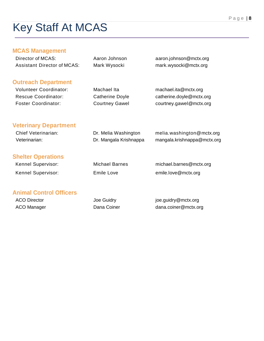### <span id="page-7-0"></span>Key Staff At MCAS

#### <span id="page-7-1"></span>**MCAS Management**

<span id="page-7-5"></span><span id="page-7-4"></span><span id="page-7-3"></span><span id="page-7-2"></span>

| Director of MCAS:                  | Aaron Johnson          | aaron.johnson@mctx.org      |
|------------------------------------|------------------------|-----------------------------|
| <b>Assistant Director of MCAS:</b> | Mark Wysocki           | mark.wysocki@mctx.org       |
| <b>Outreach Department</b>         |                        |                             |
| <b>Volunteer Coordinator:</b>      | Machael Ita            | machael.ita@mctx.org        |
| <b>Rescue Coordinator:</b>         | <b>Catherine Doyle</b> | catherine.doyle@mctx.org    |
| <b>Foster Coordinator:</b>         | <b>Courtney Gawel</b>  | courtney.gawel@mctx.org     |
| <b>Veterinary Department</b>       |                        |                             |
| <b>Chief Veterinarian:</b>         | Dr. Melia Washington   | melia.washington@mctx.org   |
| Veterinarian:                      | Dr. Mangala Krishnappa | mangala.krishnappa@mctx.org |
| <b>Shelter Operations</b>          |                        |                             |
| Kennel Supervisor:                 | <b>Michael Barnes</b>  | michael.barnes@mctx.org     |
| Kennel Supervisor:                 | <b>Emile Love</b>      | emile.love@mctx.org         |
| <b>Animal Control Officers</b>     |                        |                             |
| <b>ACO Director</b>                | Joe Guidry             | joe.guidry@mctx.org         |
| <b>ACO Manager</b>                 | Dana Coiner            | dana.coiner@mctx.org        |
|                                    |                        |                             |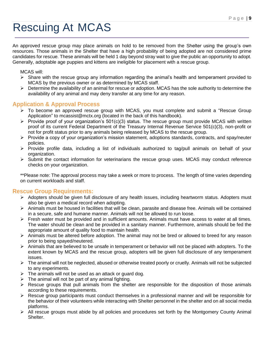### <span id="page-8-0"></span>Rescuing At MCAS

An approved rescue group may place animals on hold to be removed from the Shelter using the group's own resources. Those animals in the Shelter that have a high probability of being adopted are not considered prime candidates for rescue. These animals will be held 1 day beyond stray wait to give the public an opportunity to adopt. Generally, adoptable age puppies and kittens are ineligible for placement with a rescue group.

MCAS will:

- $\triangleright$  Share with the rescue group any information regarding the animal's health and temperament provided to MCAS by the previous owner or as determined by MCAS staff.
- Determine the availability of an animal for rescue or adoption. MCAS has the sole authority to determine the availability of any animal and may deny transfer at any time for any reason.

#### <span id="page-8-1"></span>**Application & Approval Process**

- To become an approved rescue group with MCAS, you must complete and submit a "Rescue Group Application" to mcassist@mctx.org (located in the back of this handbook).
- $\triangleright$  Provide proof of your organization's 501(c)(3) status. The rescue group must provide MCAS with written proof of its current Federal Department of the Treasury Internal Revenue Service 501(c)(3), non-profit or not for profit status prior to any animals being released by MCAS to the rescue group.
- $\triangleright$  Provide a copy of your organization's mission statement, adoptions standards, contracts, and spay/neuter policies.
- $\triangleright$  Provide profile data, including a list of individuals authorized to tag/pull animals on behalf of your organization.
- $\triangleright$  Submit the contact information for veterinarians the rescue group uses. MCAS may conduct reference checks on your organization.

\*\*Please note: The approval process may take a week or more to process. The length of time varies depending on current workloads and staff.

#### <span id="page-8-2"></span>**Rescue Group Requirements:**

- Adopters should be given full disclosure of any health issues, including heartworm status. Adopters must also be given a medical record when adopting.
- Animals must be housed in facilities that will be clean, parasite and disease free. Animals will be contained in a secure, safe and humane manner. Animals will not be allowed to run loose.
- $\triangleright$  Fresh water must be provided and in sufficient amounts. Animals must have access to water at all times. The water should be clean and be provided in a sanitary manner. Furthermore, animals should be fed the appropriate amount of quality food to maintain health.
- $\triangleright$  Animals must be altered before adoption. The animal may not be bred or allowed to breed for any reason prior to being spayed/neutered.
- Animals that are believed to be unsafe in temperament or behavior will not be placed with adopters. To the extent known by MCAS and the rescue group, adopters will be given full disclosure of any temperament issues.
- $\triangleright$  The animal will not be neglected, abused or otherwise treated poorly or cruelly. Animals will not be subjected to any experiments.
- $\triangleright$  The animals will not be used as an attack or guard dog.
- $\triangleright$  The animal will not be part of any animal fighting.
- $\triangleright$  Rescue groups that pull animals from the shelter are responsible for the disposition of those animals according to these requirements.
- $\triangleright$  Rescue group participants must conduct themselves in a professional manner and will be responsible for the behavior of their volunteers while interacting with Shelter personnel in the shelter and on all social media platforms.
- $\triangleright$  All rescue groups must abide by all policies and procedures set forth by the Montgomery County Animal Shelter.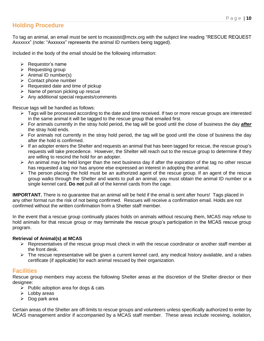#### <span id="page-9-0"></span>**Holding Procedure**

To tag an animal, an email must be sent to mcassist@mctx.org with the subject line reading "RESCUE REQUEST Axxxxxx" (note: "Axxxxxx" represents the animal ID numbers being tagged).

Included in the body of the email should be the following information:

- $\triangleright$  Requestor's name
- $\triangleright$  Requesting group
- $\triangleright$  Animal ID number(s)
- $\triangleright$  Contact phone number
- $\triangleright$  Requested date and time of pickup
- $\triangleright$  Name of person picking up rescue
- $\triangleright$  Any additional special requests/comments

Rescue tags will be handled as follows:

- $\triangleright$  Tags will be processed according to the date and time received. If two or more rescue groups are interested in the same animal it will be tagged to the rescue group that emailed first.
- For animals currently in the stray hold period, the tag will be good until the close of business the day *after* the stray hold ends.
- $\triangleright$  For animals not currently in the stray hold period, the tag will be good until the close of business the day after the hold is confirmed.
- $\triangleright$  If an adopter enters the Shelter and requests an animal that has been tagged for rescue, the rescue group's requests will take precedence. However, the Shelter will reach out to the rescue group to determine if they are willing to rescind the hold for an adopter.
- $\triangleright$  An animal may be held longer than the next business day if after the expiration of the tag no other rescue has requested a tag nor has anyone else expressed an interest in adopting the animal.
- $\triangleright$  The person placing the hold must be an authorized agent of the rescue group. If an agent of the rescue group walks through the Shelter and wants to pull an animal, you must obtain the animal ID number or a single kennel card. **Do not** pull all of the kennel cards from the cage.

**IMPORTANT.** There is no guarantee that an animal will be held if the email is sent after hours! Tags placed in any other format run the risk of not being confirmed. Rescues will receive a confirmation email. Holds are not confirmed without the written confirmation from a Shelter staff member.

In the event that a rescue group continually places holds on animals without rescuing them, MCAS may refuse to hold animals for that rescue group or may terminate the rescue group's participation in the MCAS rescue group program.

#### <span id="page-9-1"></span>**Retrieval of Animal(s) at MCAS**

- $\triangleright$  Representatives of the rescue group must check in with the rescue coordinator or another staff member at the front desk.
- > The rescue representative will be given a current kennel card, any medical history available, and a rabies certificate (if applicable) for each animal rescued by their organization.

#### <span id="page-9-2"></span>**Facilities**

Rescue group members may access the following Shelter areas at the discretion of the Shelter director or their designee:

- $\triangleright$  Public adoption area for dogs & cats
- $\triangleright$  Lobby areas
- $\triangleright$  Dog park area

Certain areas of the Shelter are off-limits to rescue groups and volunteers unless specifically authorized to enter by MCAS management and/or if accompanied by a MCAS staff member. These areas include receiving, isolation,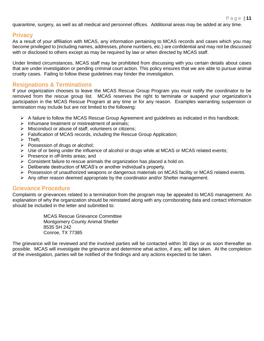quarantine, surgery, as well as all medical and personnel offices. Additional areas may be added at any time.

#### <span id="page-10-0"></span>**Privacy**

As a result of your affiliation with MCAS, any information pertaining to MCAS records and cases which you may become privileged to (including names, addresses, phone numbers, etc.) are confidential and may not be discussed with or disclosed to others except as may be required by law or when directed by MCAS staff.

Under limited circumstances, MCAS staff may be prohibited from discussing with you certain details about cases that are under investigation or pending criminal court action. This policy ensures that we are able to pursue animal cruelty cases. Failing to follow these guidelines may hinder the investigation.

#### <span id="page-10-1"></span>**Resignations & Terminations**

If your organization chooses to leave the MCAS Rescue Group Program you must notify the coordinator to be removed from the rescue group list. MCAS reserves the right to terminate or suspend your organization's participation in the MCAS Rescue Program at any time or for any reason. Examples warranting suspension or termination may include but are not limited to the following:

- $\triangleright$  A failure to follow the MCAS Rescue Group Agreement and guidelines as indicated in this handbook;
- $\triangleright$  Inhumane treatment or mistreatment of animals;
- $\triangleright$  Misconduct or abuse of staff, volunteers or citizens;
- $\triangleright$  Falsification of MCAS records, including the Rescue Group Application;
- $\triangleright$  Theft:
- $\triangleright$  Possession of drugs or alcohol:
- $\triangleright$  Use of or being under the influence of alcohol or drugs while at MCAS or MCAS related events;
- $\triangleright$  Presence in off-limits areas: and
- $\triangleright$  Consistent failure to rescue animals the organization has placed a hold on.
- $\triangleright$  Deliberate destruction of MCAS's or another individual's property.
- Possession of unauthorized weapons or dangerous materials on MCAS facility or MCAS related events.
- $\triangleright$  Any other reason deemed appropriate by the coordinator and/or Shelter management.

#### <span id="page-10-2"></span>**Grievance Procedure**

Complaints or grievances related to a termination from the program may be appealed to MCAS management. An explanation of why the organization should be reinstated along with any corroborating data and contact information should be included in the letter and submitted to:

> MCAS Rescue Grievance Committee Montgomery County Animal Shelter 8535 SH 242 Conroe, TX 77385

The grievance will be reviewed and the involved parties will be contacted within 30 days or as soon thereafter as possible. MCAS will investigate the grievance and determine what action, if any, will be taken. At the completion of the investigation, parties will be notified of the findings and any actions expected to be taken.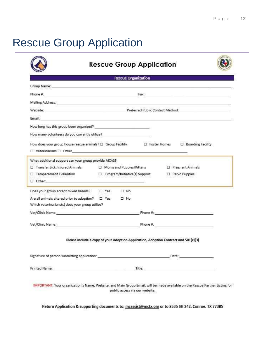### <span id="page-11-0"></span>Rescue Group Application

|                                                                                                                                                                                                                                | <b>Rescue Organization</b>                                                                                                                                                                                                    |
|--------------------------------------------------------------------------------------------------------------------------------------------------------------------------------------------------------------------------------|-------------------------------------------------------------------------------------------------------------------------------------------------------------------------------------------------------------------------------|
|                                                                                                                                                                                                                                | Group Name: www.common.com/web/2010/07/2010 07:00:00 07:00:00 07:00:00 07:00:00 07:00:00 07:00:00 07:00:00 07:00:00                                                                                                           |
|                                                                                                                                                                                                                                |                                                                                                                                                                                                                               |
|                                                                                                                                                                                                                                |                                                                                                                                                                                                                               |
|                                                                                                                                                                                                                                |                                                                                                                                                                                                                               |
| Email: 2008. [2016] [2016] [2016] [2016] [2016] [2016] [2016] [2016] [2016] [2016] [2016] [2016] [2016] [2016] [2016] [2016] [2016] [2016] [2016] [2016] [2016] [2016] [2016] [2016] [2016] [2016] [2016] [2016] [2016] [2016] |                                                                                                                                                                                                                               |
|                                                                                                                                                                                                                                |                                                                                                                                                                                                                               |
| How many volunteers do you currently utilize? __________________________________                                                                                                                                               |                                                                                                                                                                                                                               |
|                                                                                                                                                                                                                                |                                                                                                                                                                                                                               |
| □ Veterinarians □ Other <u>[19]</u>                                                                                                                                                                                            |                                                                                                                                                                                                                               |
| What additional support can your group provide MCAS?                                                                                                                                                                           |                                                                                                                                                                                                                               |
|                                                                                                                                                                                                                                | □ Transfer Sick, Injured Animals      □ Moms and Puppies/Kittens       □ Pregnant Animals                                                                                                                                     |
| □ Temperament Evaluation                                                                                                                                                                                                       | □ Program/Initiative(s) Support<br>D Parvo Puppies                                                                                                                                                                            |
| $\Box$ Other: $\Box$                                                                                                                                                                                                           |                                                                                                                                                                                                                               |
|                                                                                                                                                                                                                                |                                                                                                                                                                                                                               |
|                                                                                                                                                                                                                                |                                                                                                                                                                                                                               |
| Which veterinarians(s) does your group utilize?                                                                                                                                                                                |                                                                                                                                                                                                                               |
|                                                                                                                                                                                                                                | Vet/Clinic Name: The Contract of the Contract of the Contract of the Contract of the Contract of the Contract of the Contract of the Contract of the Contract of the Contract of the Contract of the Contract of the Contract |
|                                                                                                                                                                                                                                |                                                                                                                                                                                                                               |
|                                                                                                                                                                                                                                |                                                                                                                                                                                                                               |
|                                                                                                                                                                                                                                | Please include a copy of your Adoption Application, Adoption Contract and 501(c)(3)                                                                                                                                           |
|                                                                                                                                                                                                                                |                                                                                                                                                                                                                               |
|                                                                                                                                                                                                                                | Date:                                                                                                                                                                                                                         |
|                                                                                                                                                                                                                                |                                                                                                                                                                                                                               |
|                                                                                                                                                                                                                                |                                                                                                                                                                                                                               |

Return Application & supporting documents to: mcassist@mctx.org or to 8535 SH 242, Conroe, TX 77385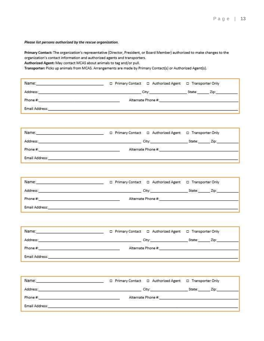Please list persons authorized by the rescue organization.

Primary Contact: The organization's representative (Director, President, or Board Member) authorized to make changes to the organization's contact information and authorized agents and transporters.

Authorized Agent: May contact MCAS about animals to tag and/or pull.

Transporter: Picks up animals from MCAS. Arrangements are made by Primary Contact(s) or Authorized Agent(s).

| Name:          | D Primary Contact D Authorized Agent D Transporter Only |                |
|----------------|---------------------------------------------------------|----------------|
| Address:       | City:                                                   | State:<br>/sp: |
| Phone #        | Alternate Phone #:                                      |                |
| Email Address: |                                                         |                |

| Name:          | □ Primary Contact □ Authorized Agent □ Transporter Only |                |
|----------------|---------------------------------------------------------|----------------|
| Address:       | City:                                                   | State:<br>Zio: |
| Phone #:       | Alternate Phone #:                                      |                |
| Email Address: |                                                         |                |

| Name:          | □ Primary Contact □ Authorized Agent □ Transporter Only |                |
|----------------|---------------------------------------------------------|----------------|
| Address:       | City:                                                   | State:<br>Zip: |
| Phone #:       | Alternate Phone #:                                      |                |
| Email Address: |                                                         |                |

| Name:          | □ Primary Contact □ Authorized Agent □ Transporter Only |                |
|----------------|---------------------------------------------------------|----------------|
| Address:       | City:                                                   | State:<br>Zip: |
| 20<br>Phone #: | Alternate Phone #:                                      |                |
| Email Address: |                                                         |                |

| Name:          | D Primary Contact D Authorized Agent D Transporter Only |                |
|----------------|---------------------------------------------------------|----------------|
| Address:       | City:                                                   | Zip:<br>State: |
| Phone #:       | Alternate Phone #:<br>アントランチャール ちんどう サービストップ・コンティング・ト   |                |
| Email Address: |                                                         |                |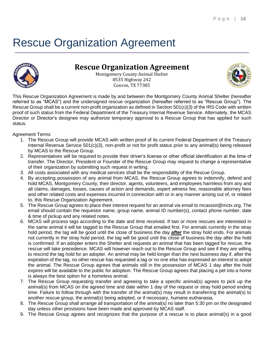### <span id="page-13-0"></span>Rescue Organization Agreement



#### **Rescue Organization Agreement**

Montgomery County Animal Shelter 8535 Highway 242 Conroe, TX 77385



This Rescue Organization Agreement is made by and between the Montgomery County Animal Shelter (hereafter referred to as "MCAS") and the undersigned rescue organization (hereafter referred to as "Rescue Group"). The Rescue Group shall be a current non-profit organization as defined in Section 501(c)(3) of the IRS Code with written proof of such status from the Federal Department of the Treasury Internal Revenue Service. Alternately, the MCAS Director or Director's designee may authorize temporary approval to a Rescue Group that has applied for such status.

Agreement Terms

- 1. The Rescue Group will provide MCAS with written proof of its current Federal Department of the Treasury Internal Revenue Service 501(c)(3), non-profit or not for profit status prior to any animal(s) being released by MCAS to the Rescue Group.
- 2. Representatives will be required to provide their driver's license or other official identification at the time of transfer. The Director, President or Founder of the Rescue Group may request to change a representative of their organization by submitting such request in writing.
- 3. All costs associated with any medical services shall be the responsibility of the Rescue Group.
- 4. By accepting possession of any animal from MCAS, the Rescue Group agrees to indemnify, defend and hold MCAS, Montgomery County, their director, agents, volunteers, and employees harmless from any and all claims, damages, losses, causes of action and demands, expert witness fee, reasonable attorney fees and other related costs and expenses incurred in connection with or in any manner arising out of, or related to, this Rescue Organization Agreement.
- 5. The Rescue Group agrees to place their interest request for an animal via email to mcassist@mctx.org. The email should contain the requestor name, group name, animal ID number(s), contact phone number, date & time of pickup and any related notes.
- 6. MCAS will process tags according to the date and time received. If two or more rescues are interested in the same animal it will be tagged to the Rescue Group that emailed first. For animals currently in the stray hold period, the tag will be good until the close of business the day *after* the stray hold ends. For animals not currently in the stray hold period, the tag will be good until the close of business the day after the hold is confirmed. If an adopter enters the Shelter and requests an animal that has been tagged for rescue, the rescue will take precedence. MCAS will however reach out to the Rescue Group and see if they are willing to rescind the tag hold for an adopter. An animal may be held longer than the next business day if, after the expiration of the tag, no other rescue has requested a tag or no one else has expressed an interest to adopt the animal. The Rescue Group agrees that animals still in the possession of MCAS 1 day after the hold expires will be available to the public for adoption. The Rescue Group agrees that placing a pet into a home is always the best option for a homeless animal.
- 7. The Rescue Group requesting transfer and agreeing to take a specific animal(s) agrees to pick up the animal(s) from MCAS on the agreed time and date within 1 day of the request or stray hold period ending time. Failure to follow through with the transfer of the animal(s) may result in transferring the animal(s) to another rescue group, the animal(s) being adopted, or if necessary, humane euthanasia.
- 8. The Rescue Group shall arrange all transportation of the animal(s) no later than 5:30 pm on the designated day unless other provisions have been made and approved by MCAS staff.
- 9. The Rescue Group agrees and recognizes that the purpose of a rescue is to place animal(s) in a good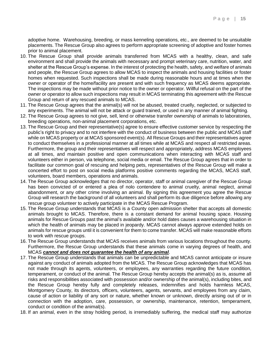adoptive home. Warehousing, breeding, or mass kenneling operations, etc., are deemed to be unsuitable placements. The Rescue Group also agrees to perform appropriate screening of adoptive and foster homes prior to animal placement.

- 10. The Rescue Group shall provide animals transferred from MCAS with a healthy, clean, and safe environment and shall provide the animals with necessary and prompt veterinary care, nutrition, water, and shelter at the Rescue Group's expense. In the interest of protecting the health, safety, and welfare of animals and people, the Rescue Group agrees to allow MCAS to inspect the animals and housing facilities or foster homes when requested. Such inspections shall be made during reasonable hours and at times when the owner or operator of the home/facility are present and with such frequency as MCAS deems appropriate. The inspections may be made without prior notice to the owner or operator. Willful refusal on the part of the owner or operator to allow such inspections may result in MCAS terminating this agreement with the Rescue Group and return of any rescued animals to MCAS.
- 11. The Rescue Group agrees that the animal(s) will not be abused, treated cruelly, neglected, or subjected to any experiments. The animal will not be attack or guard trained, or used in any manner of animal fighting.
- 12. The Rescue Group agrees to not give, sell, lend or otherwise transfer ownership of animals to laboratories, breeding operations, non-animal placement corporations, etc.
- 13. The Rescue Group and their representative(s) agree to ensure effective customer service by respecting the public's right to privacy and to not interfere with the conduct of business between the public and MCAS staff while on MCAS property or at MCAS sponsored event(s). All Rescue Groups and their representatives agree to conduct themselves in a professional manner at all times while at MCAS and respect all restricted areas. Furthermore, the group and their representatives will respect and appropriately, address MCAS employees at all times, and maintain positive and open communications when interacting with MCAS staff and volunteers either in person, via telephone, social media or email. The Rescue Group agrees that in order to facilitate our common goal of rescuing and helping pets, representatives of the Rescue Group will make a concerted effort to post on social media platforms positive comments regarding the MCAS, MCAS staff, volunteers, board members, operations and animals.
- 14. The Rescue Group acknowledges that no director, operator, staff or animal caregiver of the Rescue Group has been convicted of or entered a plea of nolo contendere to animal cruelty, animal neglect, animal abandonment, or any other crime involving an animal. By signing this agreement you agree the Rescue Group will research the background of all volunteers and shall perform its due diligence before allowing any rescue group volunteer to actively participate in the MCAS Rescue Program.
- 15. The Rescue Group understands that MCAS is a County open admission shelter that accepts all domestic animals brought to MCAS. Therefore, there is a constant demand for animal housing space. Housing animals for Rescue Groups past the animal's available and/or hold dates causes a warehousing situation in which the health of animals may be placed in jeopardy. MCAS cannot always approve extended holds on animals for rescue groups until it is convenient for them to come transfer. MCAS will make reasonable efforts to work with rescue groups.
- 16. The Rescue Group understands that MCAS receives animals from various locations throughout the county. Furthermore, the Rescue Group understands that these animals come in varying degrees of health, and MCAS *cannot and does not guarantee the health of any animal*.
- 17. The Rescue Group understands that animals can be unpredictable and MCAS cannot anticipate or insure against any conduct of animals adopted from the MCAS. The Rescue Group acknowledges that MCAS has not made through its agents, volunteers, or employees, any warranties regarding the future condition, temperament, or conduct of the animal. The Rescue Group hereby accepts the animal(s) as is, assume all risks and responsibilities associated with possession and/or ownership of the animal(s), including bites, and the Rescue Group hereby fully and completely releases, indemnifies and holds harmless MCAS, Montgomery County, its directors, officers, volunteers, agents, servants, and employees from any claim, cause of action or liability of any sort or nature, whether known or unknown, directly arising out of or in connection with the adoption, care, possession, or ownership, maintenance, retention, temperament, conduct or condition of the animal(s).
- 18. If an animal, even in the stray holding period, is irremediably suffering, the medical staff may authorize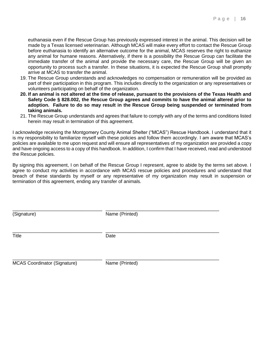euthanasia even if the Rescue Group has previously expressed interest in the animal. This decision will be made by a Texas licensed veterinarian. Although MCAS will make every effort to contact the Rescue Group before euthanasia to identify an alternative outcome for the animal, MCAS reserves the right to euthanize any animal for humane reasons. Alternatively, if there is a possibility the Rescue Group can facilitate the immediate transfer of the animal and provide the necessary care, the Rescue Group will be given an opportunity to process such a transfer. In these situations, it is expected the Rescue Group shall promptly arrive at MCAS to transfer the animal.

- 19. The Rescue Group understands and acknowledges no compensation or remuneration will be provided as part of their participation in this program. This includes directly to the organization or any representatives or volunteers participating on behalf of the organization.
- **20. If an animal is not altered at the time of release, pursuant to the provisions of the Texas Health and Safety Code § 828.002, the Rescue Group agrees and commits to have the animal altered prior to adoption. Failure to do so may result in the Rescue Group being suspended or terminated from taking animals.**
- 21. The Rescue Group understands and agrees that failure to comply with any of the terms and conditions listed herein may result in termination of this agreement.

I acknowledge receiving the Montgomery County Animal Shelter ("MCAS") Rescue Handbook. I understand that it is my responsibility to familiarize myself with these policies and follow them accordingly. I am aware that MCAS's policies are available to me upon request and will ensure all representatives of my organization are provided a copy and have ongoing access to a copy of this handbook. In addition, I confirm that I have received, read and understood the Rescue policies.

By signing this agreement, I on behalf of the Rescue Group I represent, agree to abide by the terms set above. I agree to conduct my activities in accordance with MCAS rescue policies and procedures and understand that breach of these standards by myself or any representative of my organization may result in suspension or termination of this agreement, ending any transfer of animals.

| (Signature)                         | Name (Printed) |  |
|-------------------------------------|----------------|--|
| <b>Title</b>                        | Date           |  |
| <b>MCAS Coordinator (Signature)</b> | Name (Printed) |  |